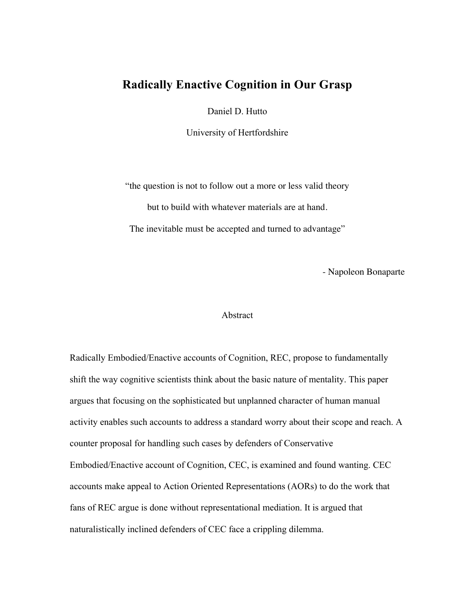# **Radically Enactive Cognition in Our Grasp**

Daniel D. Hutto

University of Hertfordshire

"the question is not to follow out a more or less valid theory but to build with whatever materials are at hand. The inevitable must be accepted and turned to advantage"

- Napoleon Bonaparte

### Abstract

Radically Embodied/Enactive accounts of Cognition, REC, propose to fundamentally shift the way cognitive scientists think about the basic nature of mentality. This paper argues that focusing on the sophisticated but unplanned character of human manual activity enables such accounts to address a standard worry about their scope and reach. A counter proposal for handling such cases by defenders of Conservative Embodied/Enactive account of Cognition, CEC, is examined and found wanting. CEC accounts make appeal to Action Oriented Representations (AORs) to do the work that fans of REC argue is done without representational mediation. It is argued that naturalistically inclined defenders of CEC face a crippling dilemma.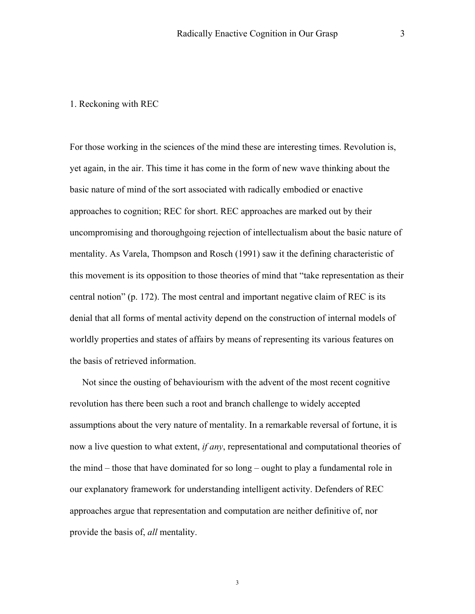#### 1. Reckoning with REC

For those working in the sciences of the mind these are interesting times. Revolution is, yet again, in the air. This time it has come in the form of new wave thinking about the basic nature of mind of the sort associated with radically embodied or enactive approaches to cognition; REC for short. REC approaches are marked out by their uncompromising and thoroughgoing rejection of intellectualism about the basic nature of mentality. As Varela, Thompson and Rosch (1991) saw it the defining characteristic of this movement is its opposition to those theories of mind that "take representation as their central notion" (p. 172). The most central and important negative claim of REC is its denial that all forms of mental activity depend on the construction of internal models of worldly properties and states of affairs by means of representing its various features on the basis of retrieved information.

Not since the ousting of behaviourism with the advent of the most recent cognitive revolution has there been such a root and branch challenge to widely accepted assumptions about the very nature of mentality. In a remarkable reversal of fortune, it is now a live question to what extent, *if any*, representational and computational theories of the mind – those that have dominated for so long – ought to play a fundamental role in our explanatory framework for understanding intelligent activity. Defenders of REC approaches argue that representation and computation are neither definitive of, nor provide the basis of, *all* mentality.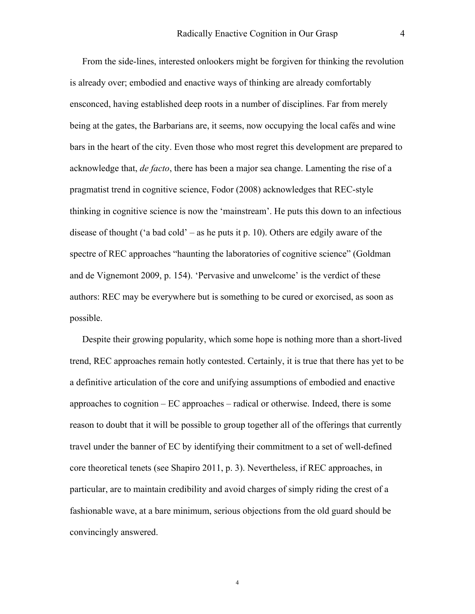From the side-lines, interested onlookers might be forgiven for thinking the revolution is already over; embodied and enactive ways of thinking are already comfortably ensconced, having established deep roots in a number of disciplines. Far from merely being at the gates, the Barbarians are, it seems, now occupying the local cafés and wine bars in the heart of the city. Even those who most regret this development are prepared to acknowledge that, *de facto*, there has been a major sea change. Lamenting the rise of a pragmatist trend in cognitive science, Fodor (2008) acknowledges that REC-style thinking in cognitive science is now the 'mainstream'. He puts this down to an infectious disease of thought ('a bad cold' – as he puts it p. 10). Others are edgily aware of the spectre of REC approaches "haunting the laboratories of cognitive science" (Goldman and de Vignemont 2009, p. 154). 'Pervasive and unwelcome' is the verdict of these authors: REC may be everywhere but is something to be cured or exorcised, as soon as possible.

Despite their growing popularity, which some hope is nothing more than a short-lived trend, REC approaches remain hotly contested. Certainly, it is true that there has yet to be a definitive articulation of the core and unifying assumptions of embodied and enactive approaches to cognition – EC approaches – radical or otherwise. Indeed, there is some reason to doubt that it will be possible to group together all of the offerings that currently travel under the banner of EC by identifying their commitment to a set of well-defined core theoretical tenets (see Shapiro 2011, p. 3). Nevertheless, if REC approaches, in particular, are to maintain credibility and avoid charges of simply riding the crest of a fashionable wave, at a bare minimum, serious objections from the old guard should be convincingly answered.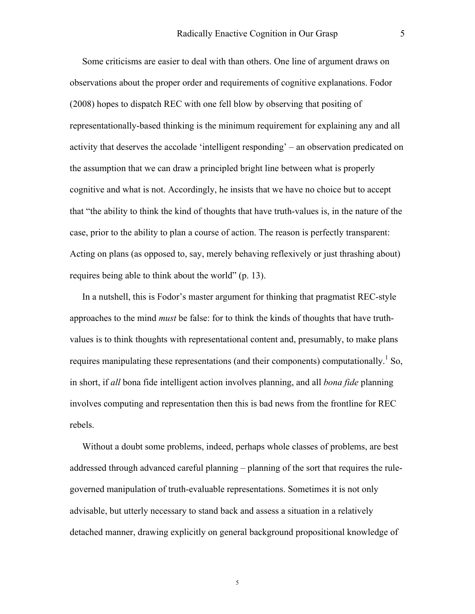Some criticisms are easier to deal with than others. One line of argument draws on observations about the proper order and requirements of cognitive explanations. Fodor (2008) hopes to dispatch REC with one fell blow by observing that positing of representationally-based thinking is the minimum requirement for explaining any and all activity that deserves the accolade 'intelligent responding' – an observation predicated on the assumption that we can draw a principled bright line between what is properly cognitive and what is not. Accordingly, he insists that we have no choice but to accept that "the ability to think the kind of thoughts that have truth-values is, in the nature of the case, prior to the ability to plan a course of action. The reason is perfectly transparent: Acting on plans (as opposed to, say, merely behaving reflexively or just thrashing about) requires being able to think about the world" (p. 13).

In a nutshell, this is Fodor's master argument for thinking that pragmatist REC-style approaches to the mind *must* be false: for to think the kinds of thoughts that have truthvalues is to think thoughts with representational content and, presumably, to make plans requires manipulating these representations (and their components) computationally.<sup>1</sup> So, in short, if *all* bona fide intelligent action involves planning, and all *bona fide* planning involves computing and representation then this is bad news from the frontline for REC rebels.

Without a doubt some problems, indeed, perhaps whole classes of problems, are best addressed through advanced careful planning – planning of the sort that requires the rulegoverned manipulation of truth-evaluable representations. Sometimes it is not only advisable, but utterly necessary to stand back and assess a situation in a relatively detached manner, drawing explicitly on general background propositional knowledge of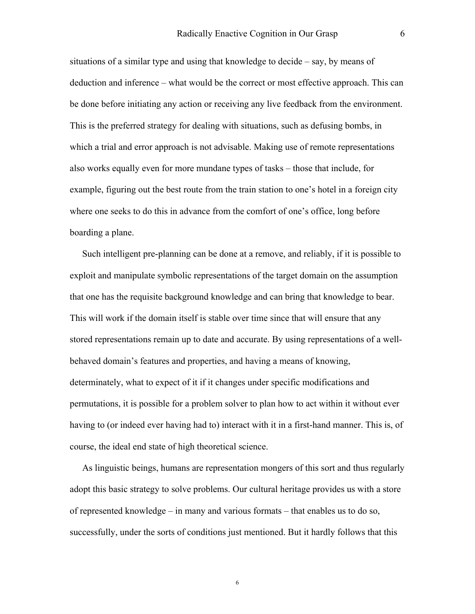situations of a similar type and using that knowledge to decide – say, by means of deduction and inference – what would be the correct or most effective approach. This can be done before initiating any action or receiving any live feedback from the environment. This is the preferred strategy for dealing with situations, such as defusing bombs, in which a trial and error approach is not advisable. Making use of remote representations also works equally even for more mundane types of tasks – those that include, for example, figuring out the best route from the train station to one's hotel in a foreign city where one seeks to do this in advance from the comfort of one's office, long before boarding a plane.

Such intelligent pre-planning can be done at a remove, and reliably, if it is possible to exploit and manipulate symbolic representations of the target domain on the assumption that one has the requisite background knowledge and can bring that knowledge to bear. This will work if the domain itself is stable over time since that will ensure that any stored representations remain up to date and accurate. By using representations of a wellbehaved domain's features and properties, and having a means of knowing, determinately, what to expect of it if it changes under specific modifications and permutations, it is possible for a problem solver to plan how to act within it without ever having to (or indeed ever having had to) interact with it in a first-hand manner. This is, of course, the ideal end state of high theoretical science.

As linguistic beings, humans are representation mongers of this sort and thus regularly adopt this basic strategy to solve problems. Our cultural heritage provides us with a store of represented knowledge – in many and various formats – that enables us to do so, successfully, under the sorts of conditions just mentioned. But it hardly follows that this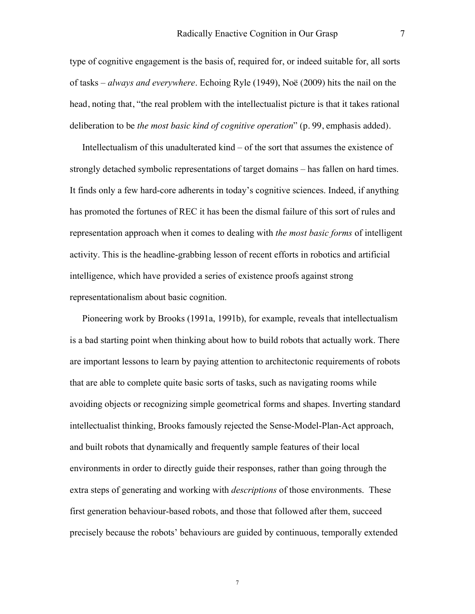type of cognitive engagement is the basis of, required for, or indeed suitable for, all sorts of tasks – *always and everywhere*. Echoing Ryle (1949), Noë (2009) hits the nail on the head, noting that, "the real problem with the intellectualist picture is that it takes rational deliberation to be *the most basic kind of cognitive operation*" (p. 99, emphasis added).

Intellectualism of this unadulterated kind – of the sort that assumes the existence of strongly detached symbolic representations of target domains – has fallen on hard times. It finds only a few hard-core adherents in today's cognitive sciences. Indeed, if anything has promoted the fortunes of REC it has been the dismal failure of this sort of rules and representation approach when it comes to dealing with *the most basic forms* of intelligent activity. This is the headline-grabbing lesson of recent efforts in robotics and artificial intelligence, which have provided a series of existence proofs against strong representationalism about basic cognition.

Pioneering work by Brooks (1991a, 1991b), for example, reveals that intellectualism is a bad starting point when thinking about how to build robots that actually work. There are important lessons to learn by paying attention to architectonic requirements of robots that are able to complete quite basic sorts of tasks, such as navigating rooms while avoiding objects or recognizing simple geometrical forms and shapes. Inverting standard intellectualist thinking, Brooks famously rejected the Sense-Model-Plan-Act approach, and built robots that dynamically and frequently sample features of their local environments in order to directly guide their responses, rather than going through the extra steps of generating and working with *descriptions* of those environments. These first generation behaviour-based robots, and those that followed after them, succeed precisely because the robots' behaviours are guided by continuous, temporally extended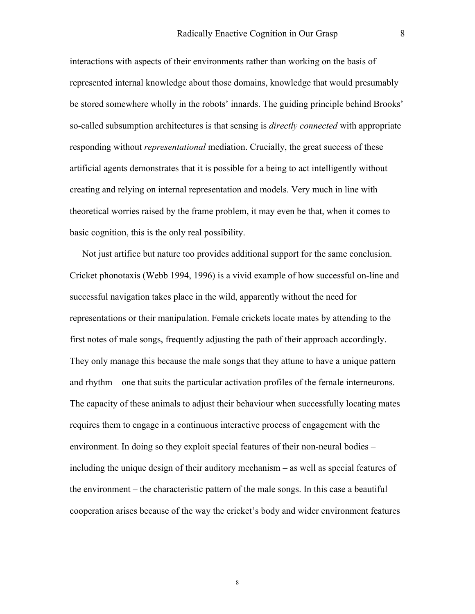interactions with aspects of their environments rather than working on the basis of represented internal knowledge about those domains, knowledge that would presumably be stored somewhere wholly in the robots' innards. The guiding principle behind Brooks' so-called subsumption architectures is that sensing is *directly connected* with appropriate responding without *representational* mediation. Crucially, the great success of these artificial agents demonstrates that it is possible for a being to act intelligently without creating and relying on internal representation and models. Very much in line with theoretical worries raised by the frame problem, it may even be that, when it comes to basic cognition, this is the only real possibility.

Not just artifice but nature too provides additional support for the same conclusion. Cricket phonotaxis (Webb 1994, 1996) is a vivid example of how successful on-line and successful navigation takes place in the wild, apparently without the need for representations or their manipulation. Female crickets locate mates by attending to the first notes of male songs, frequently adjusting the path of their approach accordingly. They only manage this because the male songs that they attune to have a unique pattern and rhythm – one that suits the particular activation profiles of the female interneurons. The capacity of these animals to adjust their behaviour when successfully locating mates requires them to engage in a continuous interactive process of engagement with the environment. In doing so they exploit special features of their non-neural bodies – including the unique design of their auditory mechanism – as well as special features of the environment – the characteristic pattern of the male songs. In this case a beautiful cooperation arises because of the way the cricket's body and wider environment features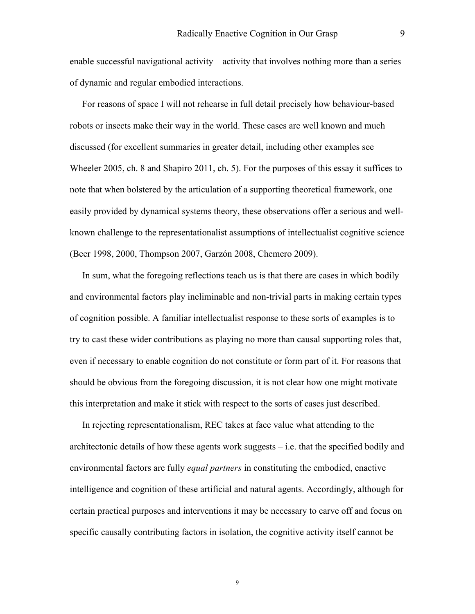enable successful navigational activity – activity that involves nothing more than a series of dynamic and regular embodied interactions.

For reasons of space I will not rehearse in full detail precisely how behaviour-based robots or insects make their way in the world. These cases are well known and much discussed (for excellent summaries in greater detail, including other examples see Wheeler 2005, ch. 8 and Shapiro 2011, ch. 5). For the purposes of this essay it suffices to note that when bolstered by the articulation of a supporting theoretical framework, one easily provided by dynamical systems theory, these observations offer a serious and wellknown challenge to the representationalist assumptions of intellectualist cognitive science (Beer 1998, 2000, Thompson 2007, Garzón 2008, Chemero 2009).

In sum, what the foregoing reflections teach us is that there are cases in which bodily and environmental factors play ineliminable and non-trivial parts in making certain types of cognition possible. A familiar intellectualist response to these sorts of examples is to try to cast these wider contributions as playing no more than causal supporting roles that, even if necessary to enable cognition do not constitute or form part of it. For reasons that should be obvious from the foregoing discussion, it is not clear how one might motivate this interpretation and make it stick with respect to the sorts of cases just described.

In rejecting representationalism, REC takes at face value what attending to the architectonic details of how these agents work suggests – i.e. that the specified bodily and environmental factors are fully *equal partners* in constituting the embodied, enactive intelligence and cognition of these artificial and natural agents. Accordingly, although for certain practical purposes and interventions it may be necessary to carve off and focus on specific causally contributing factors in isolation, the cognitive activity itself cannot be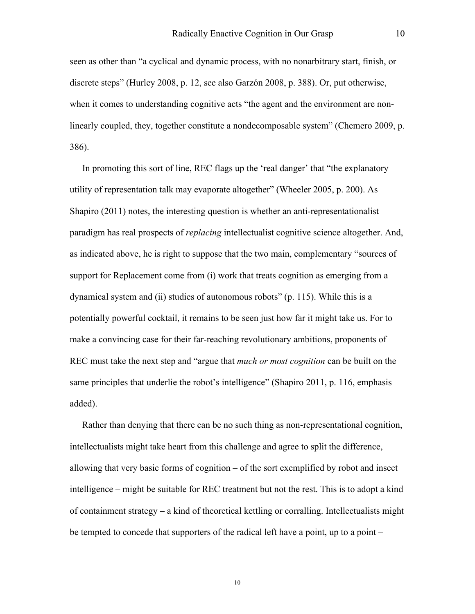seen as other than "a cyclical and dynamic process, with no nonarbitrary start, finish, or discrete steps" (Hurley 2008, p. 12, see also Garzón 2008, p. 388). Or, put otherwise, when it comes to understanding cognitive acts "the agent and the environment are nonlinearly coupled, they, together constitute a nondecomposable system" (Chemero 2009, p. 386).

In promoting this sort of line, REC flags up the 'real danger' that "the explanatory utility of representation talk may evaporate altogether" (Wheeler 2005, p. 200). As Shapiro (2011) notes, the interesting question is whether an anti-representationalist paradigm has real prospects of *replacing* intellectualist cognitive science altogether. And, as indicated above, he is right to suppose that the two main, complementary "sources of support for Replacement come from (i) work that treats cognition as emerging from a dynamical system and (ii) studies of autonomous robots" (p. 115). While this is a potentially powerful cocktail, it remains to be seen just how far it might take us. For to make a convincing case for their far-reaching revolutionary ambitions, proponents of REC must take the next step and "argue that *much or most cognition* can be built on the same principles that underlie the robot's intelligence" (Shapiro 2011, p. 116, emphasis added).

Rather than denying that there can be no such thing as non-representational cognition, intellectualists might take heart from this challenge and agree to split the difference, allowing that very basic forms of cognition – of the sort exemplified by robot and insect intelligence – might be suitable for REC treatment but not the rest. This is to adopt a kind of containment strategy **–** a kind of theoretical kettling or corralling. Intellectualists might be tempted to concede that supporters of the radical left have a point, up to a point –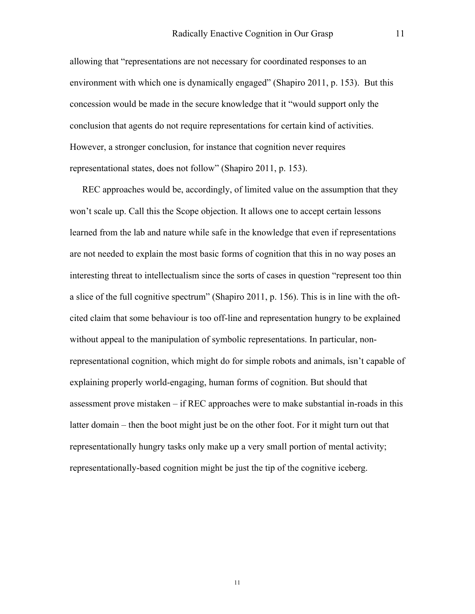allowing that "representations are not necessary for coordinated responses to an environment with which one is dynamically engaged" (Shapiro 2011, p. 153). But this concession would be made in the secure knowledge that it "would support only the conclusion that agents do not require representations for certain kind of activities. However, a stronger conclusion, for instance that cognition never requires representational states, does not follow" (Shapiro 2011, p. 153).

REC approaches would be, accordingly, of limited value on the assumption that they won't scale up. Call this the Scope objection. It allows one to accept certain lessons learned from the lab and nature while safe in the knowledge that even if representations are not needed to explain the most basic forms of cognition that this in no way poses an interesting threat to intellectualism since the sorts of cases in question "represent too thin a slice of the full cognitive spectrum" (Shapiro 2011, p. 156). This is in line with the oftcited claim that some behaviour is too off-line and representation hungry to be explained without appeal to the manipulation of symbolic representations. In particular, nonrepresentational cognition, which might do for simple robots and animals, isn't capable of explaining properly world-engaging, human forms of cognition. But should that assessment prove mistaken – if REC approaches were to make substantial in-roads in this latter domain – then the boot might just be on the other foot. For it might turn out that representationally hungry tasks only make up a very small portion of mental activity; representationally-based cognition might be just the tip of the cognitive iceberg.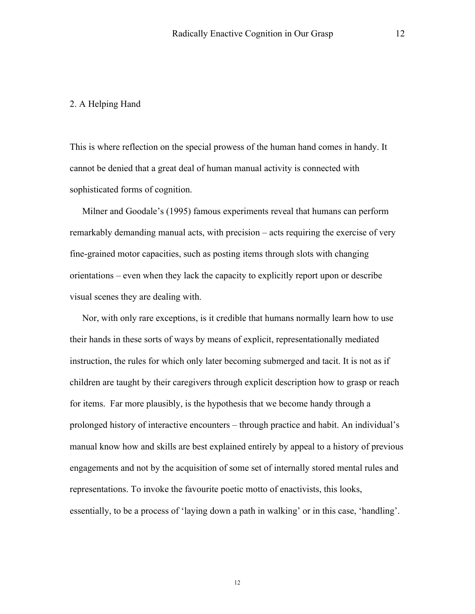#### 2. A Helping Hand

This is where reflection on the special prowess of the human hand comes in handy. It cannot be denied that a great deal of human manual activity is connected with sophisticated forms of cognition.

Milner and Goodale's (1995) famous experiments reveal that humans can perform remarkably demanding manual acts, with precision – acts requiring the exercise of very fine-grained motor capacities, such as posting items through slots with changing orientations – even when they lack the capacity to explicitly report upon or describe visual scenes they are dealing with.

Nor, with only rare exceptions, is it credible that humans normally learn how to use their hands in these sorts of ways by means of explicit, representationally mediated instruction, the rules for which only later becoming submerged and tacit. It is not as if children are taught by their caregivers through explicit description how to grasp or reach for items. Far more plausibly, is the hypothesis that we become handy through a prolonged history of interactive encounters – through practice and habit. An individual's manual know how and skills are best explained entirely by appeal to a history of previous engagements and not by the acquisition of some set of internally stored mental rules and representations. To invoke the favourite poetic motto of enactivists, this looks, essentially, to be a process of 'laying down a path in walking' or in this case, 'handling'.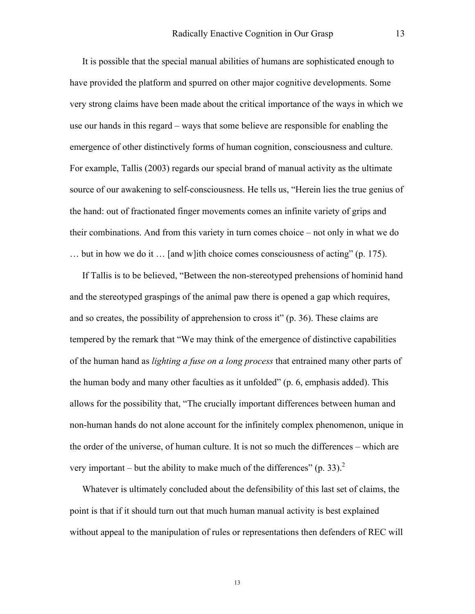It is possible that the special manual abilities of humans are sophisticated enough to have provided the platform and spurred on other major cognitive developments. Some very strong claims have been made about the critical importance of the ways in which we use our hands in this regard – ways that some believe are responsible for enabling the emergence of other distinctively forms of human cognition, consciousness and culture. For example, Tallis (2003) regards our special brand of manual activity as the ultimate source of our awakening to self-consciousness. He tells us, "Herein lies the true genius of the hand: out of fractionated finger movements comes an infinite variety of grips and their combinations. And from this variety in turn comes choice – not only in what we do … but in how we do it … [and w]ith choice comes consciousness of acting" (p. 175).

If Tallis is to be believed, "Between the non-stereotyped prehensions of hominid hand and the stereotyped graspings of the animal paw there is opened a gap which requires, and so creates, the possibility of apprehension to cross it" (p. 36). These claims are tempered by the remark that "We may think of the emergence of distinctive capabilities of the human hand as *lighting a fuse on a long process* that entrained many other parts of the human body and many other faculties as it unfolded" (p. 6, emphasis added). This allows for the possibility that, "The crucially important differences between human and non-human hands do not alone account for the infinitely complex phenomenon, unique in the order of the universe, of human culture. It is not so much the differences – which are very important – but the ability to make much of the differences" (p. 33).<sup>2</sup>

Whatever is ultimately concluded about the defensibility of this last set of claims, the point is that if it should turn out that much human manual activity is best explained without appeal to the manipulation of rules or representations then defenders of REC will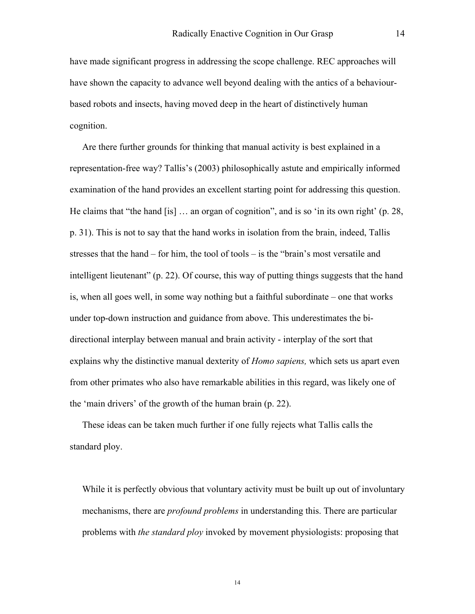have made significant progress in addressing the scope challenge. REC approaches will have shown the capacity to advance well beyond dealing with the antics of a behaviourbased robots and insects, having moved deep in the heart of distinctively human cognition.

Are there further grounds for thinking that manual activity is best explained in a representation-free way? Tallis's (2003) philosophically astute and empirically informed examination of the hand provides an excellent starting point for addressing this question. He claims that "the hand [is] … an organ of cognition", and is so 'in its own right' (p. 28, p. 31). This is not to say that the hand works in isolation from the brain, indeed, Tallis stresses that the hand – for him, the tool of tools – is the "brain's most versatile and intelligent lieutenant" (p. 22). Of course, this way of putting things suggests that the hand is, when all goes well, in some way nothing but a faithful subordinate – one that works under top-down instruction and guidance from above. This underestimates the bidirectional interplay between manual and brain activity - interplay of the sort that explains why the distinctive manual dexterity of *Homo sapiens,* which sets us apart even from other primates who also have remarkable abilities in this regard, was likely one of the 'main drivers' of the growth of the human brain (p. 22).

These ideas can be taken much further if one fully rejects what Tallis calls the standard ploy.

While it is perfectly obvious that voluntary activity must be built up out of involuntary mechanisms, there are *profound problems* in understanding this. There are particular problems with *the standard ploy* invoked by movement physiologists: proposing that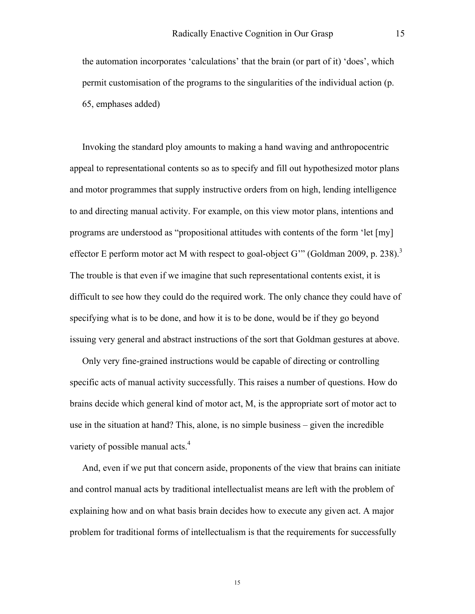the automation incorporates 'calculations' that the brain (or part of it) 'does', which permit customisation of the programs to the singularities of the individual action (p. 65, emphases added)

Invoking the standard ploy amounts to making a hand waving and anthropocentric appeal to representational contents so as to specify and fill out hypothesized motor plans and motor programmes that supply instructive orders from on high, lending intelligence to and directing manual activity. For example, on this view motor plans, intentions and programs are understood as "propositional attitudes with contents of the form 'let [my] effector E perform motor act M with respect to goal-object G'" (Goldman 2009, p. 238).<sup>3</sup> The trouble is that even if we imagine that such representational contents exist, it is difficult to see how they could do the required work. The only chance they could have of specifying what is to be done, and how it is to be done, would be if they go beyond issuing very general and abstract instructions of the sort that Goldman gestures at above.

Only very fine-grained instructions would be capable of directing or controlling specific acts of manual activity successfully. This raises a number of questions. How do brains decide which general kind of motor act, M, is the appropriate sort of motor act to use in the situation at hand? This, alone, is no simple business – given the incredible variety of possible manual acts.<sup>4</sup>

And, even if we put that concern aside, proponents of the view that brains can initiate and control manual acts by traditional intellectualist means are left with the problem of explaining how and on what basis brain decides how to execute any given act. A major problem for traditional forms of intellectualism is that the requirements for successfully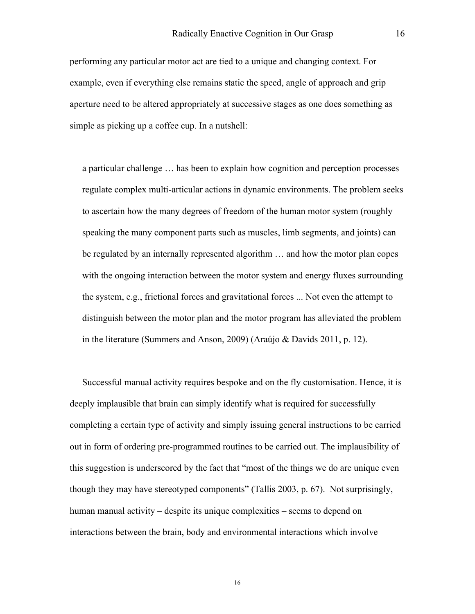performing any particular motor act are tied to a unique and changing context. For example, even if everything else remains static the speed, angle of approach and grip aperture need to be altered appropriately at successive stages as one does something as simple as picking up a coffee cup. In a nutshell:

a particular challenge … has been to explain how cognition and perception processes regulate complex multi-articular actions in dynamic environments. The problem seeks to ascertain how the many degrees of freedom of the human motor system (roughly speaking the many component parts such as muscles, limb segments, and joints) can be regulated by an internally represented algorithm … and how the motor plan copes with the ongoing interaction between the motor system and energy fluxes surrounding the system, e.g., frictional forces and gravitational forces ... Not even the attempt to distinguish between the motor plan and the motor program has alleviated the problem in the literature (Summers and Anson, 2009) (Araújo & Davids 2011, p. 12).

Successful manual activity requires bespoke and on the fly customisation. Hence, it is deeply implausible that brain can simply identify what is required for successfully completing a certain type of activity and simply issuing general instructions to be carried out in form of ordering pre-programmed routines to be carried out. The implausibility of this suggestion is underscored by the fact that "most of the things we do are unique even though they may have stereotyped components" (Tallis 2003, p. 67). Not surprisingly, human manual activity – despite its unique complexities – seems to depend on interactions between the brain, body and environmental interactions which involve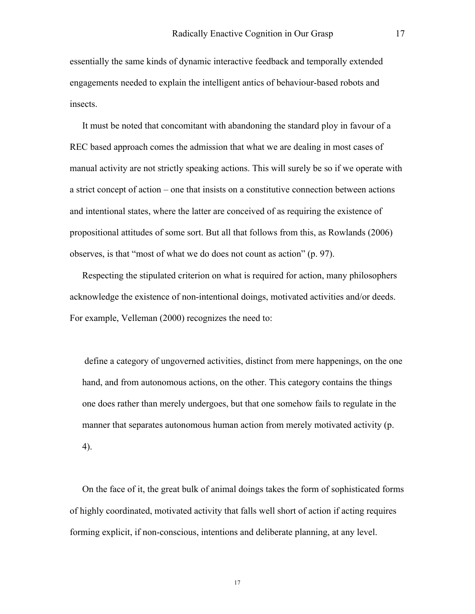essentially the same kinds of dynamic interactive feedback and temporally extended engagements needed to explain the intelligent antics of behaviour-based robots and insects.

It must be noted that concomitant with abandoning the standard ploy in favour of a REC based approach comes the admission that what we are dealing in most cases of manual activity are not strictly speaking actions. This will surely be so if we operate with a strict concept of action – one that insists on a constitutive connection between actions and intentional states, where the latter are conceived of as requiring the existence of propositional attitudes of some sort. But all that follows from this, as Rowlands (2006) observes, is that "most of what we do does not count as action" (p. 97).

Respecting the stipulated criterion on what is required for action, many philosophers acknowledge the existence of non-intentional doings, motivated activities and/or deeds. For example, Velleman (2000) recognizes the need to:

define a category of ungoverned activities, distinct from mere happenings, on the one hand, and from autonomous actions, on the other. This category contains the things one does rather than merely undergoes, but that one somehow fails to regulate in the manner that separates autonomous human action from merely motivated activity (p. 4).

On the face of it, the great bulk of animal doings takes the form of sophisticated forms of highly coordinated, motivated activity that falls well short of action if acting requires forming explicit, if non-conscious, intentions and deliberate planning, at any level.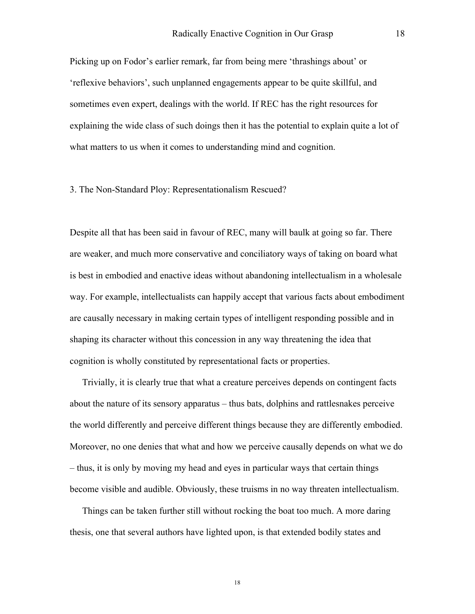Picking up on Fodor's earlier remark, far from being mere 'thrashings about' or 'reflexive behaviors', such unplanned engagements appear to be quite skillful, and sometimes even expert, dealings with the world. If REC has the right resources for explaining the wide class of such doings then it has the potential to explain quite a lot of what matters to us when it comes to understanding mind and cognition.

3. The Non-Standard Ploy: Representationalism Rescued?

Despite all that has been said in favour of REC, many will baulk at going so far. There are weaker, and much more conservative and conciliatory ways of taking on board what is best in embodied and enactive ideas without abandoning intellectualism in a wholesale way. For example, intellectualists can happily accept that various facts about embodiment are causally necessary in making certain types of intelligent responding possible and in shaping its character without this concession in any way threatening the idea that cognition is wholly constituted by representational facts or properties.

Trivially, it is clearly true that what a creature perceives depends on contingent facts about the nature of its sensory apparatus – thus bats, dolphins and rattlesnakes perceive the world differently and perceive different things because they are differently embodied. Moreover, no one denies that what and how we perceive causally depends on what we do – thus, it is only by moving my head and eyes in particular ways that certain things become visible and audible. Obviously, these truisms in no way threaten intellectualism.

Things can be taken further still without rocking the boat too much. A more daring thesis, one that several authors have lighted upon, is that extended bodily states and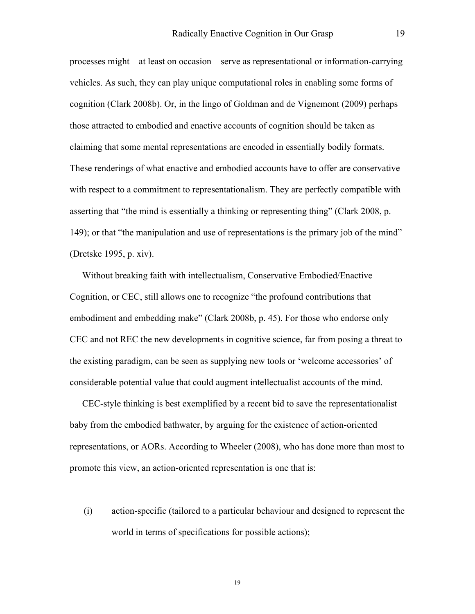processes might – at least on occasion – serve as representational or information-carrying vehicles. As such, they can play unique computational roles in enabling some forms of cognition (Clark 2008b). Or, in the lingo of Goldman and de Vignemont (2009) perhaps those attracted to embodied and enactive accounts of cognition should be taken as claiming that some mental representations are encoded in essentially bodily formats. These renderings of what enactive and embodied accounts have to offer are conservative with respect to a commitment to representationalism. They are perfectly compatible with asserting that "the mind is essentially a thinking or representing thing" (Clark 2008, p. 149); or that "the manipulation and use of representations is the primary job of the mind" (Dretske 1995, p. xiv).

Without breaking faith with intellectualism, Conservative Embodied/Enactive Cognition, or CEC, still allows one to recognize "the profound contributions that embodiment and embedding make" (Clark 2008b, p. 45). For those who endorse only CEC and not REC the new developments in cognitive science, far from posing a threat to the existing paradigm, can be seen as supplying new tools or 'welcome accessories' of considerable potential value that could augment intellectualist accounts of the mind.

CEC-style thinking is best exemplified by a recent bid to save the representationalist baby from the embodied bathwater, by arguing for the existence of action-oriented representations, or AORs. According to Wheeler (2008), who has done more than most to promote this view, an action-oriented representation is one that is:

(i) action-specific (tailored to a particular behaviour and designed to represent the world in terms of specifications for possible actions);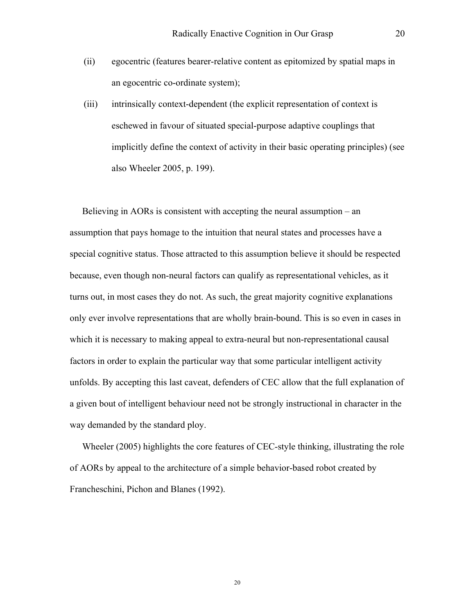- (ii) egocentric (features bearer-relative content as epitomized by spatial maps in an egocentric co-ordinate system);
- (iii) intrinsically context-dependent (the explicit representation of context is eschewed in favour of situated special-purpose adaptive couplings that implicitly define the context of activity in their basic operating principles) (see also Wheeler 2005, p. 199).

Believing in AORs is consistent with accepting the neural assumption – an assumption that pays homage to the intuition that neural states and processes have a special cognitive status. Those attracted to this assumption believe it should be respected because, even though non-neural factors can qualify as representational vehicles, as it turns out, in most cases they do not. As such, the great majority cognitive explanations only ever involve representations that are wholly brain-bound. This is so even in cases in which it is necessary to making appeal to extra-neural but non-representational causal factors in order to explain the particular way that some particular intelligent activity unfolds. By accepting this last caveat, defenders of CEC allow that the full explanation of a given bout of intelligent behaviour need not be strongly instructional in character in the way demanded by the standard ploy.

Wheeler (2005) highlights the core features of CEC-style thinking, illustrating the role of AORs by appeal to the architecture of a simple behavior-based robot created by Francheschini, Pichon and Blanes (1992).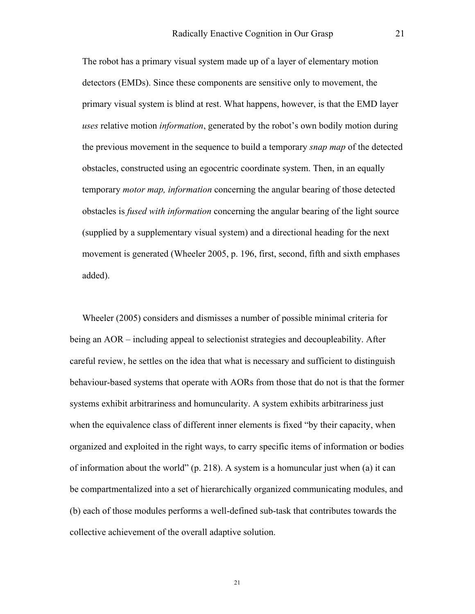The robot has a primary visual system made up of a layer of elementary motion detectors (EMDs). Since these components are sensitive only to movement, the primary visual system is blind at rest. What happens, however, is that the EMD layer *uses* relative motion *information*, generated by the robot's own bodily motion during the previous movement in the sequence to build a temporary *snap map* of the detected obstacles, constructed using an egocentric coordinate system. Then, in an equally temporary *motor map, information* concerning the angular bearing of those detected obstacles is *fused with information* concerning the angular bearing of the light source (supplied by a supplementary visual system) and a directional heading for the next movement is generated (Wheeler 2005, p. 196, first, second, fifth and sixth emphases added).

Wheeler (2005) considers and dismisses a number of possible minimal criteria for being an AOR – including appeal to selectionist strategies and decoupleability. After careful review, he settles on the idea that what is necessary and sufficient to distinguish behaviour-based systems that operate with AORs from those that do not is that the former systems exhibit arbitrariness and homuncularity. A system exhibits arbitrariness just when the equivalence class of different inner elements is fixed "by their capacity, when organized and exploited in the right ways, to carry specific items of information or bodies of information about the world" (p. 218). A system is a homuncular just when (a) it can be compartmentalized into a set of hierarchically organized communicating modules, and (b) each of those modules performs a well-defined sub-task that contributes towards the collective achievement of the overall adaptive solution.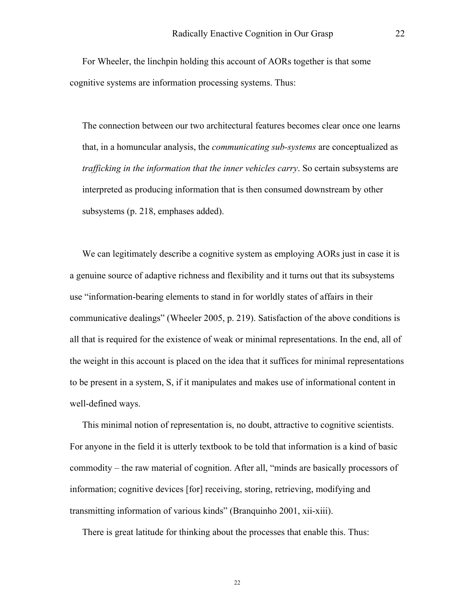For Wheeler, the linchpin holding this account of AORs together is that some cognitive systems are information processing systems. Thus:

The connection between our two architectural features becomes clear once one learns that, in a homuncular analysis, the *communicating sub-systems* are conceptualized as *trafficking in the information that the inner vehicles carry*. So certain subsystems are interpreted as producing information that is then consumed downstream by other subsystems (p. 218, emphases added).

We can legitimately describe a cognitive system as employing AORs just in case it is a genuine source of adaptive richness and flexibility and it turns out that its subsystems use "information-bearing elements to stand in for worldly states of affairs in their communicative dealings" (Wheeler 2005, p. 219). Satisfaction of the above conditions is all that is required for the existence of weak or minimal representations. In the end, all of the weight in this account is placed on the idea that it suffices for minimal representations to be present in a system, S, if it manipulates and makes use of informational content in well-defined ways.

This minimal notion of representation is, no doubt, attractive to cognitive scientists. For anyone in the field it is utterly textbook to be told that information is a kind of basic commodity – the raw material of cognition. After all, "minds are basically processors of information; cognitive devices [for] receiving, storing, retrieving, modifying and transmitting information of various kinds" (Branquinho 2001, xii-xiii).

There is great latitude for thinking about the processes that enable this. Thus: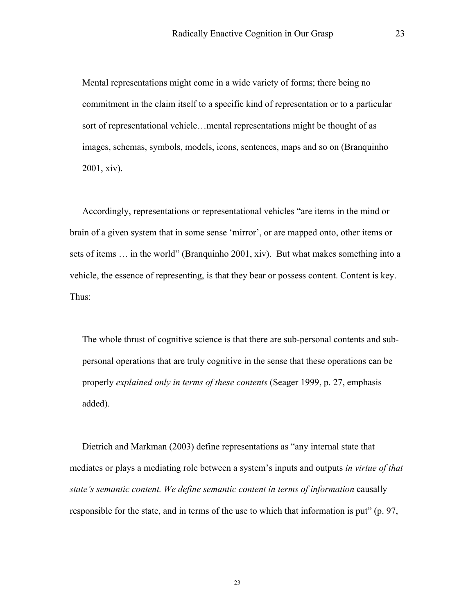Mental representations might come in a wide variety of forms; there being no commitment in the claim itself to a specific kind of representation or to a particular sort of representational vehicle…mental representations might be thought of as images, schemas, symbols, models, icons, sentences, maps and so on (Branquinho 2001, xiv).

Accordingly, representations or representational vehicles "are items in the mind or brain of a given system that in some sense 'mirror', or are mapped onto, other items or sets of items … in the world" (Branquinho 2001, xiv). But what makes something into a vehicle, the essence of representing, is that they bear or possess content. Content is key. Thus:

The whole thrust of cognitive science is that there are sub-personal contents and subpersonal operations that are truly cognitive in the sense that these operations can be properly *explained only in terms of these contents* (Seager 1999, p. 27, emphasis added).

Dietrich and Markman (2003) define representations as "any internal state that mediates or plays a mediating role between a system's inputs and outputs *in virtue of that state's semantic content. We define semantic content in terms of information* causally responsible for the state, and in terms of the use to which that information is put" (p. 97,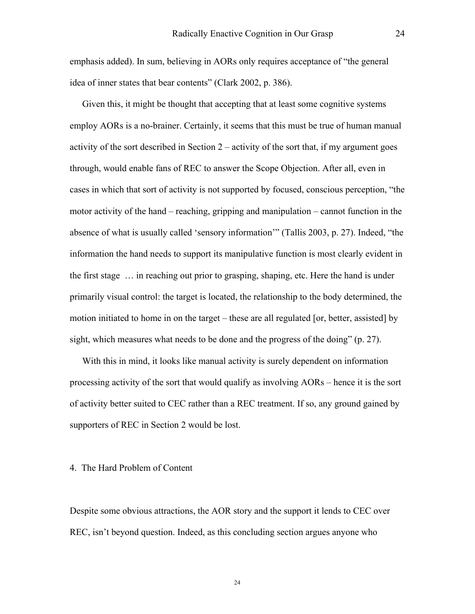emphasis added). In sum, believing in AORs only requires acceptance of "the general idea of inner states that bear contents" (Clark 2002, p. 386).

Given this, it might be thought that accepting that at least some cognitive systems employ AORs is a no-brainer. Certainly, it seems that this must be true of human manual activity of the sort described in Section 2 – activity of the sort that, if my argument goes through, would enable fans of REC to answer the Scope Objection. After all, even in cases in which that sort of activity is not supported by focused, conscious perception, "the motor activity of the hand – reaching, gripping and manipulation – cannot function in the absence of what is usually called 'sensory information'" (Tallis 2003, p. 27). Indeed, "the information the hand needs to support its manipulative function is most clearly evident in the first stage … in reaching out prior to grasping, shaping, etc. Here the hand is under primarily visual control: the target is located, the relationship to the body determined, the motion initiated to home in on the target – these are all regulated [or, better, assisted] by sight, which measures what needs to be done and the progress of the doing" (p. 27).

With this in mind, it looks like manual activity is surely dependent on information processing activity of the sort that would qualify as involving AORs – hence it is the sort of activity better suited to CEC rather than a REC treatment. If so, any ground gained by supporters of REC in Section 2 would be lost.

#### 4. The Hard Problem of Content

Despite some obvious attractions, the AOR story and the support it lends to CEC over REC, isn't beyond question. Indeed, as this concluding section argues anyone who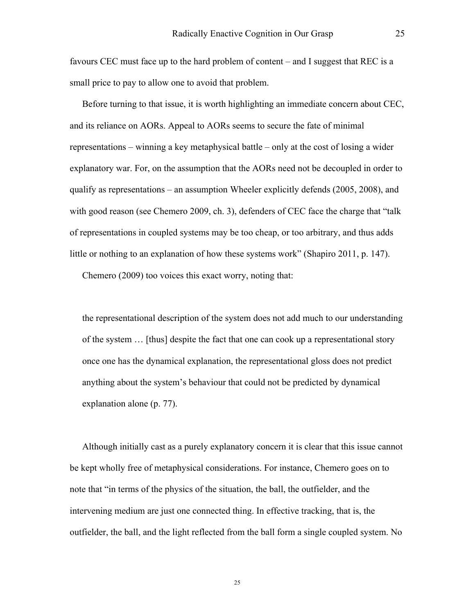favours CEC must face up to the hard problem of content – and I suggest that REC is a small price to pay to allow one to avoid that problem.

Before turning to that issue, it is worth highlighting an immediate concern about CEC, and its reliance on AORs. Appeal to AORs seems to secure the fate of minimal representations – winning a key metaphysical battle – only at the cost of losing a wider explanatory war. For, on the assumption that the AORs need not be decoupled in order to qualify as representations – an assumption Wheeler explicitly defends (2005, 2008), and with good reason (see Chemero 2009, ch. 3), defenders of CEC face the charge that "talk" of representations in coupled systems may be too cheap, or too arbitrary, and thus adds little or nothing to an explanation of how these systems work" (Shapiro 2011, p. 147).

Chemero (2009) too voices this exact worry, noting that:

the representational description of the system does not add much to our understanding of the system … [thus] despite the fact that one can cook up a representational story once one has the dynamical explanation, the representational gloss does not predict anything about the system's behaviour that could not be predicted by dynamical explanation alone (p. 77).

Although initially cast as a purely explanatory concern it is clear that this issue cannot be kept wholly free of metaphysical considerations. For instance, Chemero goes on to note that "in terms of the physics of the situation, the ball, the outfielder, and the intervening medium are just one connected thing. In effective tracking, that is, the outfielder, the ball, and the light reflected from the ball form a single coupled system. No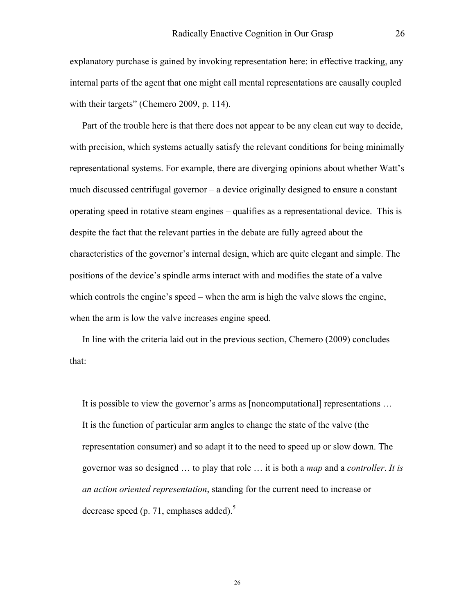explanatory purchase is gained by invoking representation here: in effective tracking, any internal parts of the agent that one might call mental representations are causally coupled

with their targets" (Chemero 2009, p. 114).

Part of the trouble here is that there does not appear to be any clean cut way to decide, with precision, which systems actually satisfy the relevant conditions for being minimally representational systems. For example, there are diverging opinions about whether Watt's much discussed centrifugal governor – a device originally designed to ensure a constant operating speed in rotative steam engines – qualifies as a representational device. This is despite the fact that the relevant parties in the debate are fully agreed about the characteristics of the governor's internal design, which are quite elegant and simple. The positions of the device's spindle arms interact with and modifies the state of a valve which controls the engine's speed – when the arm is high the valve slows the engine, when the arm is low the valve increases engine speed.

In line with the criteria laid out in the previous section, Chemero (2009) concludes that:

It is possible to view the governor's arms as [noncomputational] representations … It is the function of particular arm angles to change the state of the valve (the representation consumer) and so adapt it to the need to speed up or slow down. The governor was so designed … to play that role … it is both a *map* and a *controller*. *It is an action oriented representation*, standing for the current need to increase or decrease speed (p. 71, emphases added).<sup>5</sup>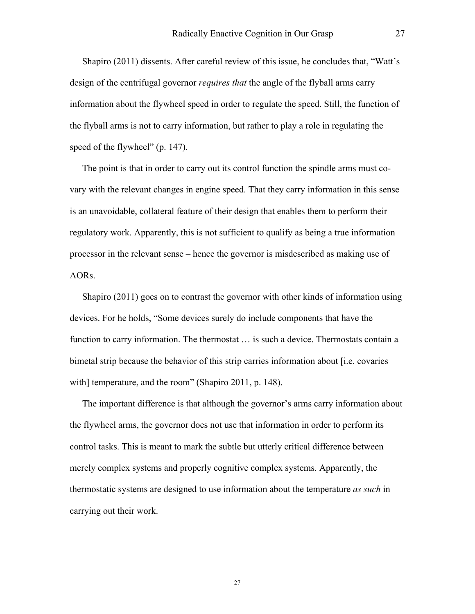Shapiro (2011) dissents. After careful review of this issue, he concludes that, "Watt's design of the centrifugal governor *requires that* the angle of the flyball arms carry information about the flywheel speed in order to regulate the speed. Still, the function of the flyball arms is not to carry information, but rather to play a role in regulating the speed of the flywheel" (p. 147).

The point is that in order to carry out its control function the spindle arms must covary with the relevant changes in engine speed. That they carry information in this sense is an unavoidable, collateral feature of their design that enables them to perform their regulatory work. Apparently, this is not sufficient to qualify as being a true information processor in the relevant sense – hence the governor is misdescribed as making use of AORs.

Shapiro (2011) goes on to contrast the governor with other kinds of information using devices. For he holds, "Some devices surely do include components that have the function to carry information. The thermostat ... is such a device. Thermostats contain a bimetal strip because the behavior of this strip carries information about [i.e. covaries with] temperature, and the room" (Shapiro 2011, p. 148).

The important difference is that although the governor's arms carry information about the flywheel arms, the governor does not use that information in order to perform its control tasks. This is meant to mark the subtle but utterly critical difference between merely complex systems and properly cognitive complex systems. Apparently, the thermostatic systems are designed to use information about the temperature *as such* in carrying out their work.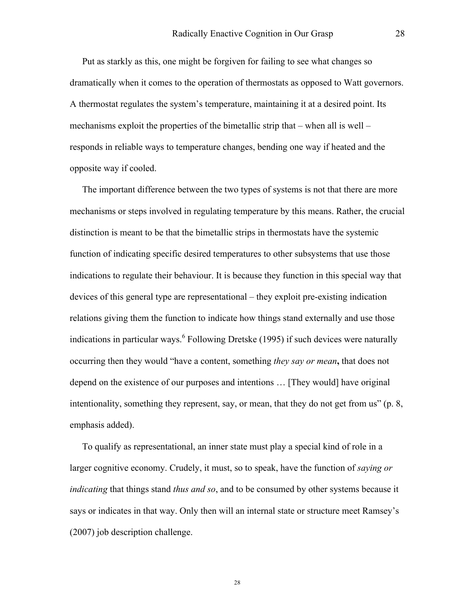Put as starkly as this, one might be forgiven for failing to see what changes so dramatically when it comes to the operation of thermostats as opposed to Watt governors. A thermostat regulates the system's temperature, maintaining it at a desired point. Its mechanisms exploit the properties of the bimetallic strip that – when all is well – responds in reliable ways to temperature changes, bending one way if heated and the opposite way if cooled.

The important difference between the two types of systems is not that there are more mechanisms or steps involved in regulating temperature by this means. Rather, the crucial distinction is meant to be that the bimetallic strips in thermostats have the systemic function of indicating specific desired temperatures to other subsystems that use those indications to regulate their behaviour. It is because they function in this special way that devices of this general type are representational – they exploit pre-existing indication relations giving them the function to indicate how things stand externally and use those indications in particular ways. <sup>6</sup> Following Dretske (1995) if such devices were naturally occurring then they would "have a content, something *they say or mean***,** that does not depend on the existence of our purposes and intentions … [They would] have original intentionality, something they represent, say, or mean, that they do not get from us" (p. 8, emphasis added).

To qualify as representational, an inner state must play a special kind of role in a larger cognitive economy. Crudely, it must, so to speak, have the function of *saying or indicating* that things stand *thus and so*, and to be consumed by other systems because it says or indicates in that way. Only then will an internal state or structure meet Ramsey's (2007) job description challenge.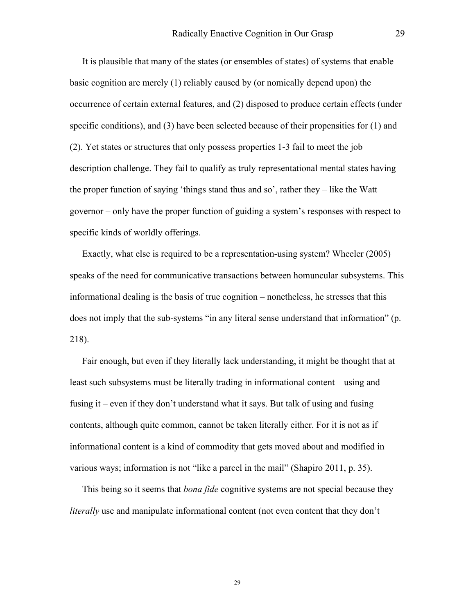It is plausible that many of the states (or ensembles of states) of systems that enable basic cognition are merely (1) reliably caused by (or nomically depend upon) the occurrence of certain external features, and (2) disposed to produce certain effects (under specific conditions), and (3) have been selected because of their propensities for (1) and (2). Yet states or structures that only possess properties 1-3 fail to meet the job description challenge. They fail to qualify as truly representational mental states having the proper function of saying 'things stand thus and so', rather they – like the Watt governor – only have the proper function of guiding a system's responses with respect to specific kinds of worldly offerings.

Exactly, what else is required to be a representation-using system? Wheeler (2005) speaks of the need for communicative transactions between homuncular subsystems. This informational dealing is the basis of true cognition – nonetheless, he stresses that this does not imply that the sub-systems "in any literal sense understand that information" (p. 218).

Fair enough, but even if they literally lack understanding, it might be thought that at least such subsystems must be literally trading in informational content – using and fusing it – even if they don't understand what it says. But talk of using and fusing contents, although quite common, cannot be taken literally either. For it is not as if informational content is a kind of commodity that gets moved about and modified in various ways; information is not "like a parcel in the mail" (Shapiro 2011, p. 35).

This being so it seems that *bona fide* cognitive systems are not special because they *literally* use and manipulate informational content (not even content that they don't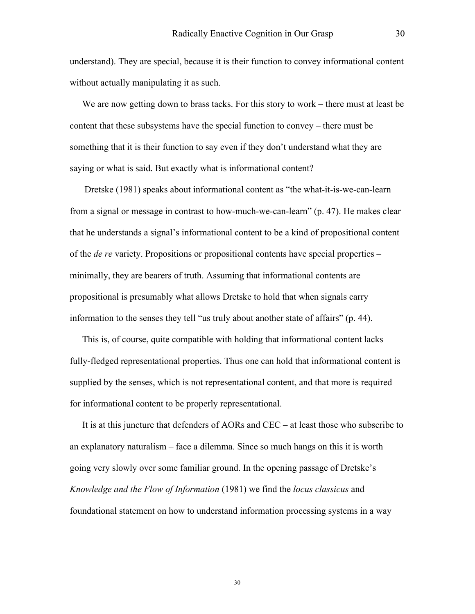understand). They are special, because it is their function to convey informational content without actually manipulating it as such.

We are now getting down to brass tacks. For this story to work – there must at least be content that these subsystems have the special function to convey – there must be something that it is their function to say even if they don't understand what they are saying or what is said. But exactly what is informational content?

Dretske (1981) speaks about informational content as "the what-it-is-we-can-learn from a signal or message in contrast to how-much-we-can-learn" (p. 47). He makes clear that he understands a signal's informational content to be a kind of propositional content of the *de re* variety. Propositions or propositional contents have special properties – minimally, they are bearers of truth. Assuming that informational contents are propositional is presumably what allows Dretske to hold that when signals carry information to the senses they tell "us truly about another state of affairs" (p. 44).

This is, of course, quite compatible with holding that informational content lacks fully-fledged representational properties. Thus one can hold that informational content is supplied by the senses, which is not representational content, and that more is required for informational content to be properly representational.

It is at this juncture that defenders of AORs and CEC – at least those who subscribe to an explanatory naturalism – face a dilemma. Since so much hangs on this it is worth going very slowly over some familiar ground. In the opening passage of Dretske's *Knowledge and the Flow of Information* (1981) we find the *locus classicus* and foundational statement on how to understand information processing systems in a way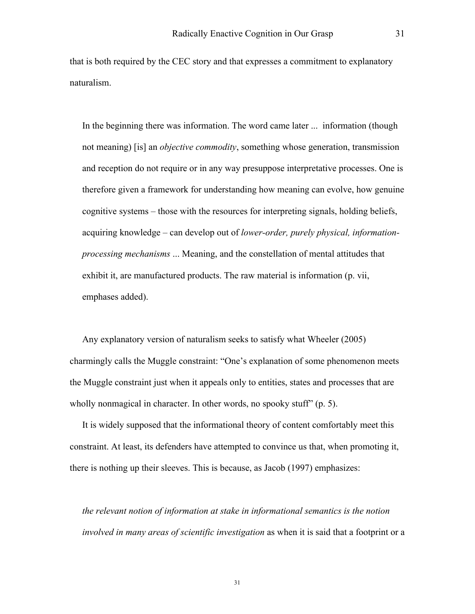that is both required by the CEC story and that expresses a commitment to explanatory naturalism.

In the beginning there was information. The word came later ... information (though not meaning) [is] an *objective commodity*, something whose generation, transmission and reception do not require or in any way presuppose interpretative processes. One is therefore given a framework for understanding how meaning can evolve, how genuine cognitive systems – those with the resources for interpreting signals, holding beliefs, acquiring knowledge – can develop out of *lower-order, purely physical, informationprocessing mechanisms* ... Meaning, and the constellation of mental attitudes that exhibit it, are manufactured products. The raw material is information (p. vii, emphases added).

Any explanatory version of naturalism seeks to satisfy what Wheeler (2005) charmingly calls the Muggle constraint: "One's explanation of some phenomenon meets the Muggle constraint just when it appeals only to entities, states and processes that are wholly nonmagical in character. In other words, no spooky stuff" (p. 5).

It is widely supposed that the informational theory of content comfortably meet this constraint. At least, its defenders have attempted to convince us that, when promoting it, there is nothing up their sleeves. This is because, as Jacob (1997) emphasizes:

*the relevant notion of information at stake in informational semantics is the notion involved in many areas of scientific investigation* as when it is said that a footprint or a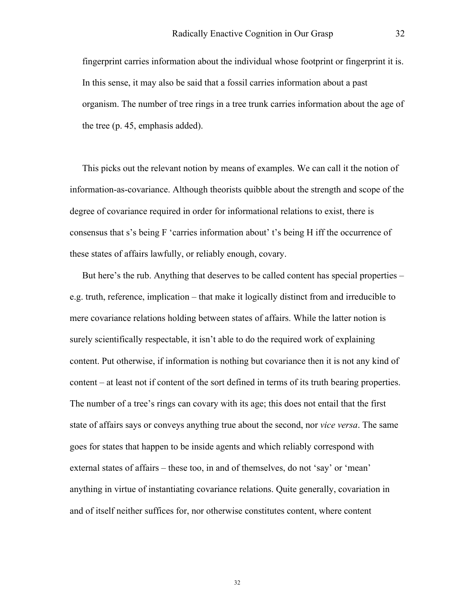fingerprint carries information about the individual whose footprint or fingerprint it is. In this sense, it may also be said that a fossil carries information about a past organism. The number of tree rings in a tree trunk carries information about the age of the tree (p. 45, emphasis added).

This picks out the relevant notion by means of examples. We can call it the notion of information-as-covariance. Although theorists quibble about the strength and scope of the degree of covariance required in order for informational relations to exist, there is consensus that s's being F 'carries information about' t's being H iff the occurrence of these states of affairs lawfully, or reliably enough, covary.

But here's the rub. Anything that deserves to be called content has special properties – e.g. truth, reference, implication – that make it logically distinct from and irreducible to mere covariance relations holding between states of affairs. While the latter notion is surely scientifically respectable, it isn't able to do the required work of explaining content. Put otherwise, if information is nothing but covariance then it is not any kind of content – at least not if content of the sort defined in terms of its truth bearing properties. The number of a tree's rings can covary with its age; this does not entail that the first state of affairs says or conveys anything true about the second, nor *vice versa*. The same goes for states that happen to be inside agents and which reliably correspond with external states of affairs – these too, in and of themselves, do not 'say' or 'mean' anything in virtue of instantiating covariance relations. Quite generally, covariation in and of itself neither suffices for, nor otherwise constitutes content, where content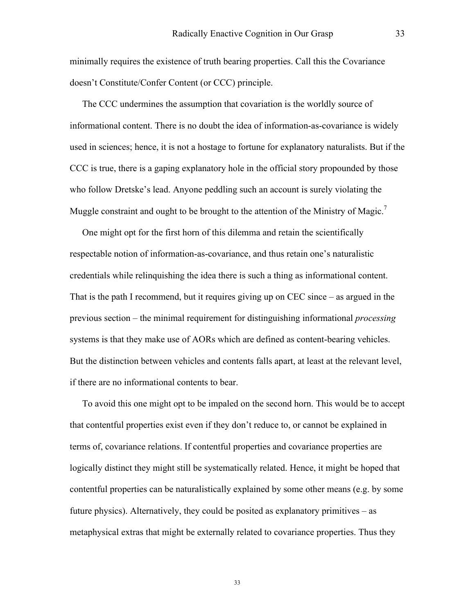minimally requires the existence of truth bearing properties. Call this the Covariance doesn't Constitute/Confer Content (or CCC) principle.

The CCC undermines the assumption that covariation is the worldly source of informational content. There is no doubt the idea of information-as-covariance is widely used in sciences; hence, it is not a hostage to fortune for explanatory naturalists. But if the CCC is true, there is a gaping explanatory hole in the official story propounded by those who follow Dretske's lead. Anyone peddling such an account is surely violating the Muggle constraint and ought to be brought to the attention of the Ministry of Magic.<sup> $\prime$ </sup>

One might opt for the first horn of this dilemma and retain the scientifically respectable notion of information-as-covariance, and thus retain one's naturalistic credentials while relinquishing the idea there is such a thing as informational content. That is the path I recommend, but it requires giving up on CEC since – as argued in the previous section – the minimal requirement for distinguishing informational *processing*  systems is that they make use of AORs which are defined as content-bearing vehicles. But the distinction between vehicles and contents falls apart, at least at the relevant level, if there are no informational contents to bear.

To avoid this one might opt to be impaled on the second horn. This would be to accept that contentful properties exist even if they don't reduce to, or cannot be explained in terms of, covariance relations. If contentful properties and covariance properties are logically distinct they might still be systematically related. Hence, it might be hoped that contentful properties can be naturalistically explained by some other means (e.g. by some future physics). Alternatively, they could be posited as explanatory primitives – as metaphysical extras that might be externally related to covariance properties. Thus they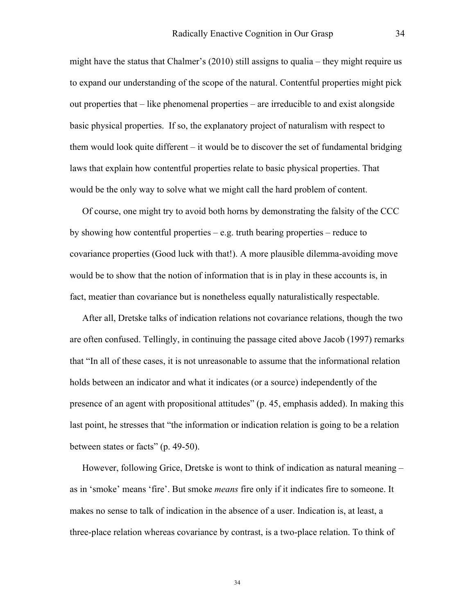might have the status that Chalmer's (2010) still assigns to qualia – they might require us to expand our understanding of the scope of the natural. Contentful properties might pick out properties that – like phenomenal properties – are irreducible to and exist alongside basic physical properties. If so, the explanatory project of naturalism with respect to them would look quite different – it would be to discover the set of fundamental bridging laws that explain how contentful properties relate to basic physical properties. That would be the only way to solve what we might call the hard problem of content.

Of course, one might try to avoid both horns by demonstrating the falsity of the CCC by showing how contentful properties – e.g. truth bearing properties – reduce to covariance properties (Good luck with that!). A more plausible dilemma-avoiding move would be to show that the notion of information that is in play in these accounts is, in fact, meatier than covariance but is nonetheless equally naturalistically respectable.

After all, Dretske talks of indication relations not covariance relations, though the two are often confused. Tellingly, in continuing the passage cited above Jacob (1997) remarks that "In all of these cases, it is not unreasonable to assume that the informational relation holds between an indicator and what it indicates (or a source) independently of the presence of an agent with propositional attitudes" (p. 45, emphasis added). In making this last point, he stresses that "the information or indication relation is going to be a relation between states or facts" (p. 49-50).

However, following Grice, Dretske is wont to think of indication as natural meaning – as in 'smoke' means 'fire'. But smoke *means* fire only if it indicates fire to someone. It makes no sense to talk of indication in the absence of a user. Indication is, at least, a three-place relation whereas covariance by contrast, is a two-place relation. To think of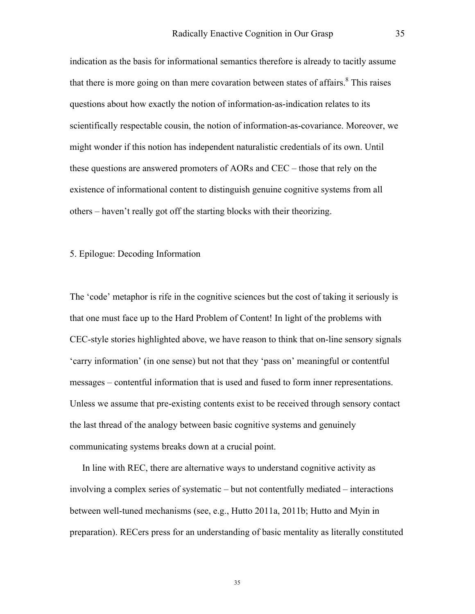indication as the basis for informational semantics therefore is already to tacitly assume that there is more going on than mere covaration between states of affairs. $8\text{ This raises }$ questions about how exactly the notion of information-as-indication relates to its scientifically respectable cousin, the notion of information-as-covariance. Moreover, we might wonder if this notion has independent naturalistic credentials of its own. Until these questions are answered promoters of AORs and CEC – those that rely on the existence of informational content to distinguish genuine cognitive systems from all others – haven't really got off the starting blocks with their theorizing.

5. Epilogue: Decoding Information

The 'code' metaphor is rife in the cognitive sciences but the cost of taking it seriously is that one must face up to the Hard Problem of Content! In light of the problems with CEC-style stories highlighted above, we have reason to think that on-line sensory signals 'carry information' (in one sense) but not that they 'pass on' meaningful or contentful messages – contentful information that is used and fused to form inner representations. Unless we assume that pre-existing contents exist to be received through sensory contact the last thread of the analogy between basic cognitive systems and genuinely communicating systems breaks down at a crucial point.

In line with REC, there are alternative ways to understand cognitive activity as involving a complex series of systematic – but not contentfully mediated – interactions between well-tuned mechanisms (see, e.g., Hutto 2011a, 2011b; Hutto and Myin in preparation). RECers press for an understanding of basic mentality as literally constituted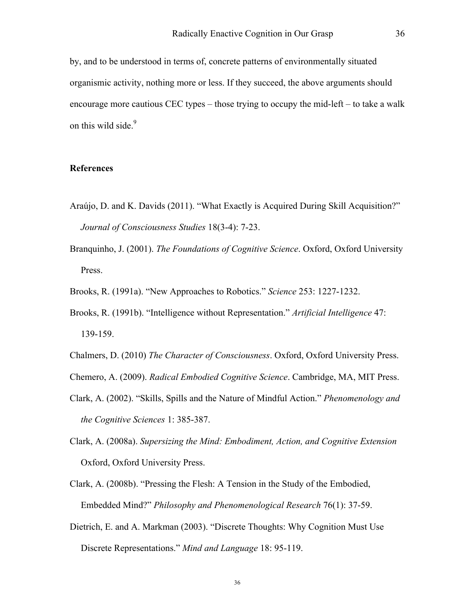by, and to be understood in terms of, concrete patterns of environmentally situated organismic activity, nothing more or less. If they succeed, the above arguments should encourage more cautious CEC types – those trying to occupy the mid-left – to take a walk on this wild side.<sup>9</sup>

## **References**

- Araújo, D. and K. Davids (2011). "What Exactly is Acquired During Skill Acquisition?" *Journal of Consciousness Studies* 18(3-4): 7-23.
- Branquinho, J. (2001). *The Foundations of Cognitive Science*. Oxford, Oxford University Press.
- Brooks, R. (1991a). "New Approaches to Robotics." *Science* 253: 1227-1232.
- Brooks, R. (1991b). "Intelligence without Representation." *Artificial Intelligence* 47: 139-159.
- Chalmers, D. (2010) *The Character of Consciousness*. Oxford, Oxford University Press.
- Chemero, A. (2009). *Radical Embodied Cognitive Science*. Cambridge, MA, MIT Press.
- Clark, A. (2002). "Skills, Spills and the Nature of Mindful Action." *Phenomenology and the Cognitive Sciences* 1: 385-387.
- Clark, A. (2008a). *Supersizing the Mind: Embodiment, Action, and Cognitive Extension* Oxford, Oxford University Press.
- Clark, A. (2008b). "Pressing the Flesh: A Tension in the Study of the Embodied, Embedded Mind?" *Philosophy and Phenomenological Research* 76(1): 37-59.
- Dietrich, E. and A. Markman (2003). "Discrete Thoughts: Why Cognition Must Use Discrete Representations." *Mind and Language* 18: 95-119.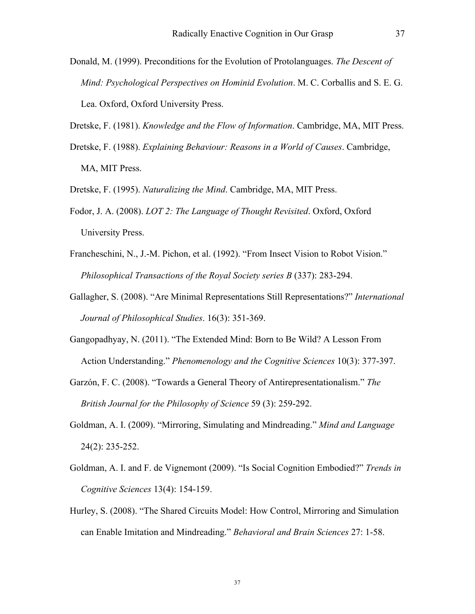- Donald, M. (1999). Preconditions for the Evolution of Protolanguages. *The Descent of Mind: Psychological Perspectives on Hominid Evolution*. M. C. Corballis and S. E. G. Lea. Oxford, Oxford University Press.
- Dretske, F. (1981). *Knowledge and the Flow of Information*. Cambridge, MA, MIT Press.
- Dretske, F. (1988). *Explaining Behaviour: Reasons in a World of Causes*. Cambridge, MA, MIT Press.
- Dretske, F. (1995). *Naturalizing the Mind*. Cambridge, MA, MIT Press.
- Fodor, J. A. (2008). *LOT 2: The Language of Thought Revisited*. Oxford, Oxford University Press.
- Francheschini, N., J.-M. Pichon, et al. (1992). "From Insect Vision to Robot Vision." *Philosophical Transactions of the Royal Society series B* (337): 283-294.
- Gallagher, S. (2008). "Are Minimal Representations Still Representations?" *International Journal of Philosophical Studies*. 16(3): 351-369.
- Gangopadhyay, N. (2011). "The Extended Mind: Born to Be Wild? A Lesson From Action Understanding." *Phenomenology and the Cognitive Sciences* 10(3): 377-397.
- Garzón, F. C. (2008). "Towards a General Theory of Antirepresentationalism." *The British Journal for the Philosophy of Science* 59 (3): 259-292.
- Goldman, A. I. (2009). "Mirroring, Simulating and Mindreading." *Mind and Language* 24(2): 235-252.
- Goldman, A. I. and F. de Vignemont (2009). "Is Social Cognition Embodied?" *Trends in Cognitive Sciences* 13(4): 154-159.
- Hurley, S. (2008). "The Shared Circuits Model: How Control, Mirroring and Simulation can Enable Imitation and Mindreading." *Behavioral and Brain Sciences* 27: 1-58.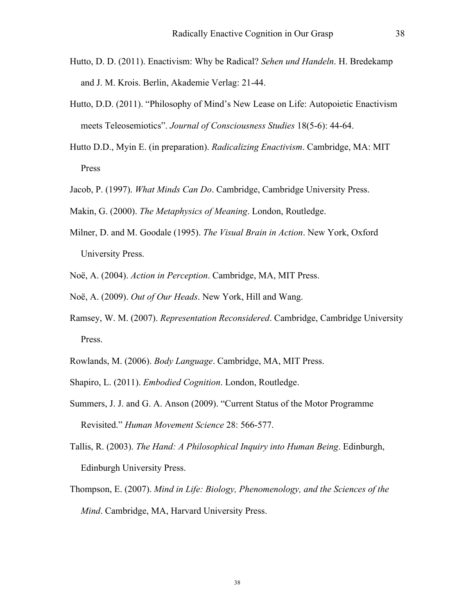- Hutto, D. D. (2011). Enactivism: Why be Radical? *Sehen und Handeln*. H. Bredekamp and J. M. Krois. Berlin, Akademie Verlag: 21-44.
- Hutto, D.D. (2011). "Philosophy of Mind's New Lease on Life: Autopoietic Enactivism meets Teleosemiotics". *Journal of Consciousness Studies* 18(5-6): 44-64.
- Hutto D.D., Myin E. (in preparation). *Radicalizing Enactivism*. Cambridge, MA: MIT Press
- Jacob, P. (1997). *What Minds Can Do*. Cambridge, Cambridge University Press.
- Makin, G. (2000). *The Metaphysics of Meaning*. London, Routledge.
- Milner, D. and M. Goodale (1995). *The Visual Brain in Action*. New York, Oxford University Press.
- Noë, A. (2004). *Action in Perception*. Cambridge, MA, MIT Press.
- Noë, A. (2009). *Out of Our Heads*. New York, Hill and Wang.
- Ramsey, W. M. (2007). *Representation Reconsidered*. Cambridge, Cambridge University Press.
- Rowlands, M. (2006). *Body Language*. Cambridge, MA, MIT Press.
- Shapiro, L. (2011). *Embodied Cognition*. London, Routledge.
- Summers, J. J. and G. A. Anson (2009). "Current Status of the Motor Programme Revisited." *Human Movement Science* 28: 566-577.
- Tallis, R. (2003). *The Hand: A Philosophical Inquiry into Human Being*. Edinburgh, Edinburgh University Press.
- Thompson, E. (2007). *Mind in Life: Biology, Phenomenology, and the Sciences of the Mind*. Cambridge, MA, Harvard University Press.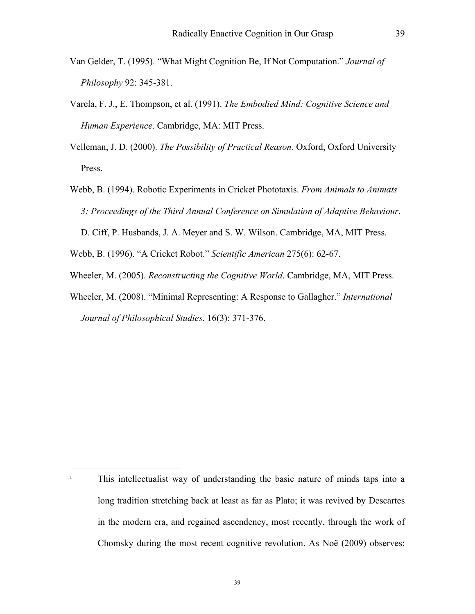- Van Gelder, T. (1995). "What Might Cognition Be, If Not Computation." *Journal of Philosophy* 92: 345-381.
- Varela, F. J., E. Thompson, et al. (1991). *The Embodied Mind: Cognitive Science and Human Experience*. Cambridge, MA: MIT Press.
- Velleman, J. D. (2000). *The Possibility of Practical Reason*. Oxford, Oxford University Press.
- Webb, B. (1994). Robotic Experiments in Cricket Phototaxis. *From Animals to Animats 3: Proceedings of the Third Annual Conference on Simulation of Adaptive Behaviour*.
	- D. Ciff, P. Husbands, J. A. Meyer and S. W. Wilson. Cambridge, MA, MIT Press.
- Webb, B. (1996). "A Cricket Robot." *Scientific American* 275(6): 62-67.
- Wheeler, M. (2005). *Reconstructing the Cognitive World*. Cambridge, MA, MIT Press.
- Wheeler, M. (2008). "Minimal Representing: A Response to Gallagher." *International Journal of Philosophical Studies*. 16(3): 371-376.

 $\overline{a}$ <sup>1</sup> This intellectualist way of understanding the basic nature of minds taps into a long tradition stretching back at least as far as Plato; it was revived by Descartes in the modern era, and regained ascendency, most recently, through the work of Chomsky during the most recent cognitive revolution. As Noë (2009) observes: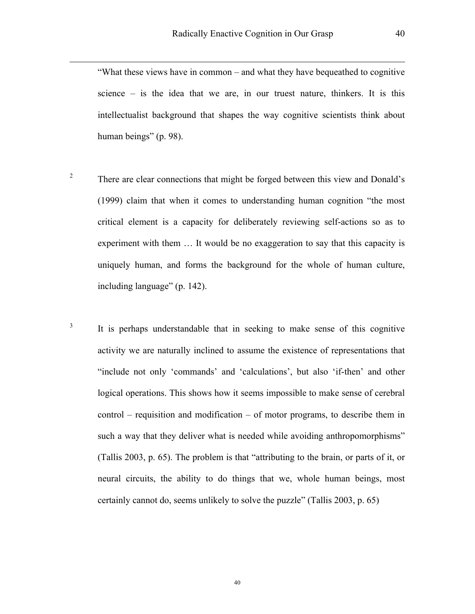$\overline{a}$ 

"What these views have in common – and what they have bequeathed to cognitive science – is the idea that we are, in our truest nature, thinkers. It is this intellectualist background that shapes the way cognitive scientists think about human beings" (p. 98).

- <sup>2</sup> There are clear connections that might be forged between this view and Donald's (1999) claim that when it comes to understanding human cognition "the most critical element is a capacity for deliberately reviewing self-actions so as to experiment with them … It would be no exaggeration to say that this capacity is uniquely human, and forms the background for the whole of human culture, including language" (p. 142).
- <sup>3</sup> It is perhaps understandable that in seeking to make sense of this cognitive activity we are naturally inclined to assume the existence of representations that "include not only 'commands' and 'calculations', but also 'if-then' and other logical operations. This shows how it seems impossible to make sense of cerebral control – requisition and modification – of motor programs, to describe them in such a way that they deliver what is needed while avoiding anthropomorphisms" (Tallis 2003, p. 65). The problem is that "attributing to the brain, or parts of it, or neural circuits, the ability to do things that we, whole human beings, most certainly cannot do, seems unlikely to solve the puzzle" (Tallis 2003, p. 65)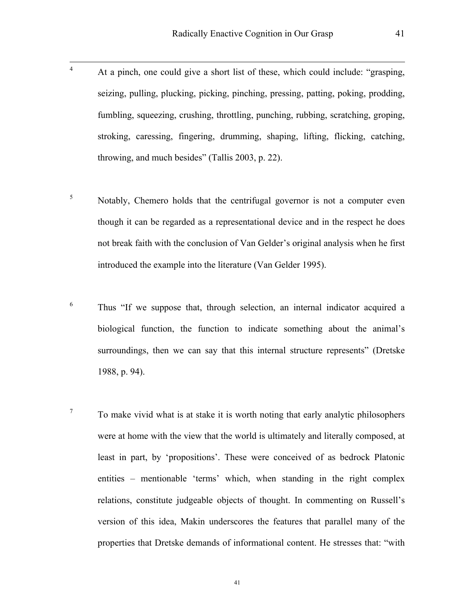- <sup>4</sup> At a pinch, one could give a short list of these, which could include: "grasping, seizing, pulling, plucking, picking, pinching, pressing, patting, poking, prodding, fumbling, squeezing, crushing, throttling, punching, rubbing, scratching, groping, stroking, caressing, fingering, drumming, shaping, lifting, flicking, catching, throwing, and much besides" (Tallis 2003, p. 22).
- <sup>5</sup> Notably, Chemero holds that the centrifugal governor is not a computer even though it can be regarded as a representational device and in the respect he does not break faith with the conclusion of Van Gelder's original analysis when he first introduced the example into the literature (Van Gelder 1995).
- <sup>6</sup> Thus "If we suppose that, through selection, an internal indicator acquired a biological function, the function to indicate something about the animal's surroundings, then we can say that this internal structure represents" (Dretske 1988, p. 94).
- $7 \text{ T}$  To make vivid what is at stake it is worth noting that early analytic philosophers were at home with the view that the world is ultimately and literally composed, at least in part, by 'propositions'. These were conceived of as bedrock Platonic entities – mentionable 'terms' which, when standing in the right complex relations, constitute judgeable objects of thought. In commenting on Russell's version of this idea, Makin underscores the features that parallel many of the properties that Dretske demands of informational content. He stresses that: "with